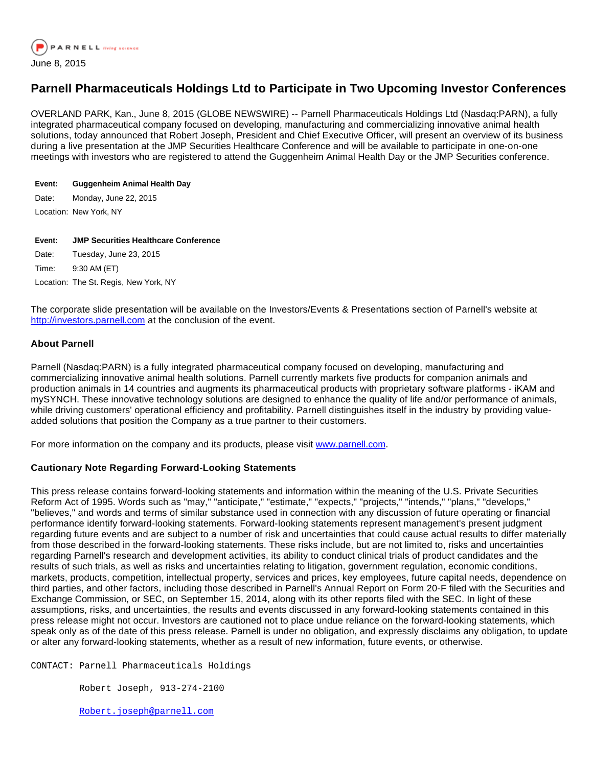

# **Parnell Pharmaceuticals Holdings Ltd to Participate in Two Upcoming Investor Conferences**

OVERLAND PARK, Kan., June 8, 2015 (GLOBE NEWSWIRE) -- Parnell Pharmaceuticals Holdings Ltd (Nasdaq:PARN), a fully integrated pharmaceutical company focused on developing, manufacturing and commercializing innovative animal health solutions, today announced that Robert Joseph, President and Chief Executive Officer, will present an overview of its business during a live presentation at the JMP Securities Healthcare Conference and will be available to participate in one-on-one meetings with investors who are registered to attend the Guggenheim Animal Health Day or the JMP Securities conference.

## **Event: Guggenheim Animal Health Day**

Date: Monday, June 22, 2015

Location: New York, NY

#### **Event: JMP Securities Healthcare Conference**

Date: Tuesday, June 23, 2015

Time: 9:30 AM (ET)

Location: The St. Regis, New York, NY

The corporate slide presentation will be available on the Investors/Events & Presentations section of Parnell's website at [http://investors.parnell.com](http://www.globenewswire.com/newsroom/ctr?d=10137586&l=2&a=http%3A%2F%2Finvestors.parnell.com&u=http%3A%2F%2Finvestors.parnell.com%2F) at the conclusion of the event.

### **About Parnell**

Parnell (Nasdaq:PARN) is a fully integrated pharmaceutical company focused on developing, manufacturing and commercializing innovative animal health solutions. Parnell currently markets five products for companion animals and production animals in 14 countries and augments its pharmaceutical products with proprietary software platforms - iKAM and mySYNCH. These innovative technology solutions are designed to enhance the quality of life and/or performance of animals, while driving customers' operational efficiency and profitability. Parnell distinguishes itself in the industry by providing valueadded solutions that position the Company as a true partner to their customers.

For more information on the company and its products, please visit [www.parnell.com](http://www.globenewswire.com/newsroom/ctr?d=10137586&l=5&a=www.parnell.com&u=http%3A%2F%2Fwww.parnell.com%2F).

## **Cautionary Note Regarding Forward-Looking Statements**

This press release contains forward-looking statements and information within the meaning of the U.S. Private Securities Reform Act of 1995. Words such as "may," "anticipate," "estimate," "expects," "projects," "intends," "plans," "develops," "believes," and words and terms of similar substance used in connection with any discussion of future operating or financial performance identify forward-looking statements. Forward-looking statements represent management's present judgment regarding future events and are subject to a number of risk and uncertainties that could cause actual results to differ materially from those described in the forward-looking statements. These risks include, but are not limited to, risks and uncertainties regarding Parnell's research and development activities, its ability to conduct clinical trials of product candidates and the results of such trials, as well as risks and uncertainties relating to litigation, government regulation, economic conditions, markets, products, competition, intellectual property, services and prices, key employees, future capital needs, dependence on third parties, and other factors, including those described in Parnell's Annual Report on Form 20-F filed with the Securities and Exchange Commission, or SEC, on September 15, 2014, along with its other reports filed with the SEC. In light of these assumptions, risks, and uncertainties, the results and events discussed in any forward-looking statements contained in this press release might not occur. Investors are cautioned not to place undue reliance on the forward-looking statements, which speak only as of the date of this press release. Parnell is under no obligation, and expressly disclaims any obligation, to update or alter any forward-looking statements, whether as a result of new information, future events, or otherwise.

CONTACT: Parnell Pharmaceuticals Holdings

Robert Joseph, 913-274-2100

[Robert.joseph@parnell.com](mailto:Robert.joseph@parnell.com)